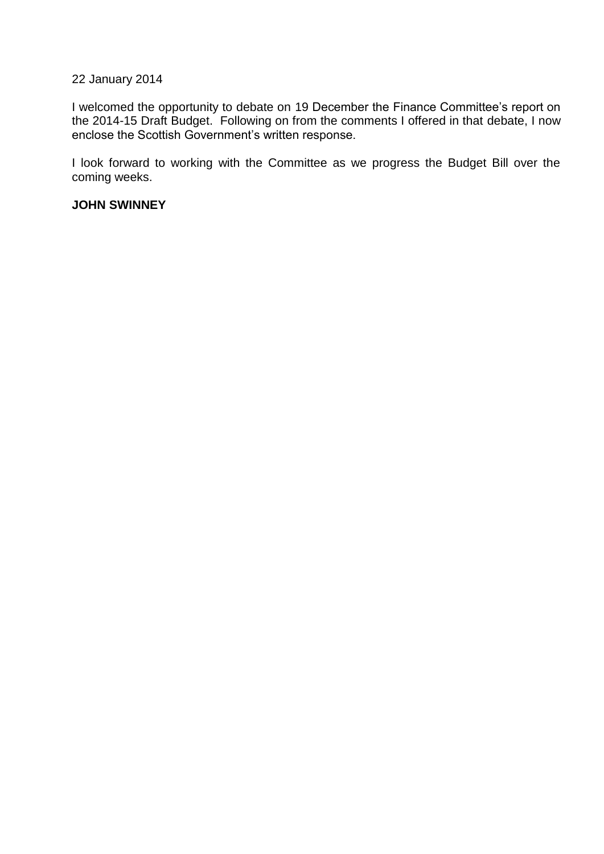# 22 January 2014

I welcomed the opportunity to debate on 19 December the Finance Committee's report on the 2014-15 Draft Budget. Following on from the comments I offered in that debate, I now enclose the Scottish Government's written response.

I look forward to working with the Committee as we progress the Budget Bill over the coming weeks.

### **JOHN SWINNEY**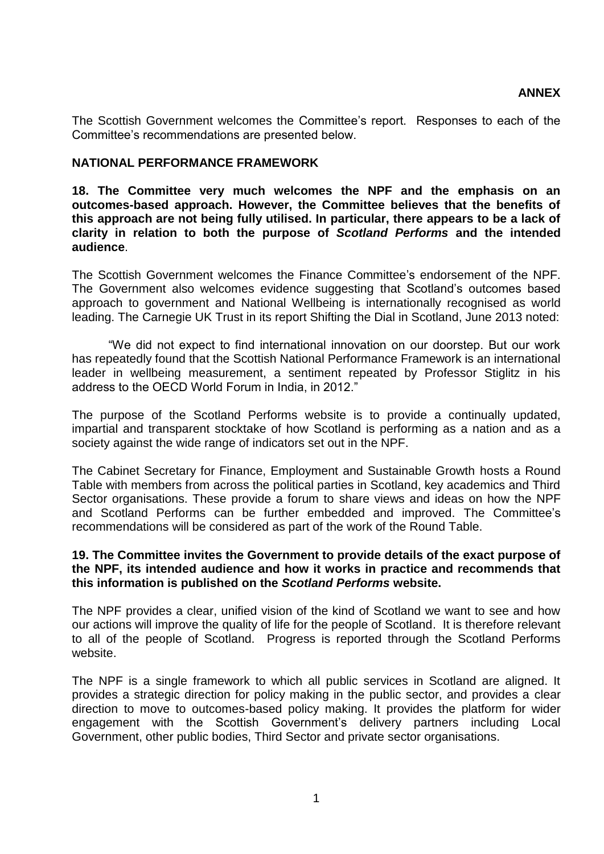The Scottish Government welcomes the Committee's report. Responses to each of the Committee's recommendations are presented below.

## **NATIONAL PERFORMANCE FRAMEWORK**

**18. The Committee very much welcomes the NPF and the emphasis on an outcomes-based approach. However, the Committee believes that the benefits of this approach are not being fully utilised. In particular, there appears to be a lack of clarity in relation to both the purpose of** *Scotland Performs* **and the intended audience**.

The Scottish Government welcomes the Finance Committee's endorsement of the NPF. The Government also welcomes evidence suggesting that Scotland's outcomes based approach to government and National Wellbeing is internationally recognised as world leading. The Carnegie UK Trust in its report Shifting the Dial in Scotland, June 2013 noted:

"We did not expect to find international innovation on our doorstep. But our work has repeatedly found that the Scottish National Performance Framework is an international leader in wellbeing measurement, a sentiment repeated by Professor Stiglitz in his address to the OECD World Forum in India, in 2012."

The purpose of the Scotland Performs website is to provide a continually updated, impartial and transparent stocktake of how Scotland is performing as a nation and as a society against the wide range of indicators set out in the NPF.

The Cabinet Secretary for Finance, Employment and Sustainable Growth hosts a Round Table with members from across the political parties in Scotland, key academics and Third Sector organisations. These provide a forum to share views and ideas on how the NPF and Scotland Performs can be further embedded and improved. The Committee's recommendations will be considered as part of the work of the Round Table.

### **19. The Committee invites the Government to provide details of the exact purpose of the NPF, its intended audience and how it works in practice and recommends that this information is published on the** *Scotland Performs* **website.**

The NPF provides a clear, unified vision of the kind of Scotland we want to see and how our actions will improve the quality of life for the people of Scotland. It is therefore relevant to all of the people of Scotland. Progress is reported through the Scotland Performs website.

The NPF is a single framework to which all public services in Scotland are aligned. It provides a strategic direction for policy making in the public sector, and provides a clear direction to move to outcomes-based policy making. It provides the platform for wider engagement with the Scottish Government's delivery partners including Local Government, other public bodies, Third Sector and private sector organisations.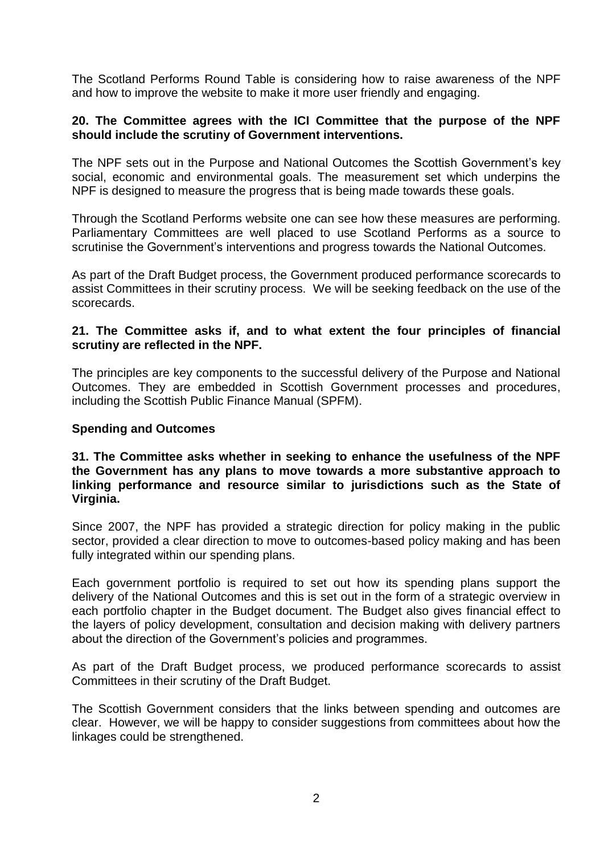The Scotland Performs Round Table is considering how to raise awareness of the NPF and how to improve the website to make it more user friendly and engaging.

## **20. The Committee agrees with the ICI Committee that the purpose of the NPF should include the scrutiny of Government interventions.**

The NPF sets out in the Purpose and National Outcomes the Scottish Government's key social, economic and environmental goals. The measurement set which underpins the NPF is designed to measure the progress that is being made towards these goals.

Through the Scotland Performs website one can see how these measures are performing. Parliamentary Committees are well placed to use Scotland Performs as a source to scrutinise the Government's interventions and progress towards the National Outcomes.

As part of the Draft Budget process, the Government produced performance scorecards to assist Committees in their scrutiny process. We will be seeking feedback on the use of the scorecards.

## **21. The Committee asks if, and to what extent the four principles of financial scrutiny are reflected in the NPF.**

The principles are key components to the successful delivery of the Purpose and National Outcomes. They are embedded in Scottish Government processes and procedures, including the Scottish Public Finance Manual (SPFM).

## **Spending and Outcomes**

**31. The Committee asks whether in seeking to enhance the usefulness of the NPF the Government has any plans to move towards a more substantive approach to linking performance and resource similar to jurisdictions such as the State of Virginia.** 

Since 2007, the NPF has provided a strategic direction for policy making in the public sector, provided a clear direction to move to outcomes-based policy making and has been fully integrated within our spending plans.

Each government portfolio is required to set out how its spending plans support the delivery of the National Outcomes and this is set out in the form of a strategic overview in each portfolio chapter in the Budget document. The Budget also gives financial effect to the layers of policy development, consultation and decision making with delivery partners about the direction of the Government's policies and programmes.

As part of the Draft Budget process, we produced performance scorecards to assist Committees in their scrutiny of the Draft Budget.

The Scottish Government considers that the links between spending and outcomes are clear. However, we will be happy to consider suggestions from committees about how the linkages could be strengthened.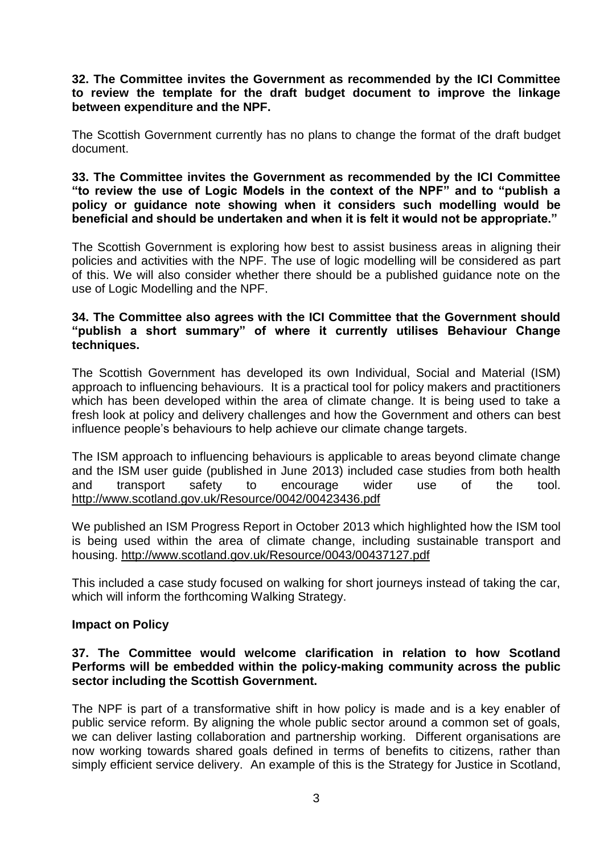**32. The Committee invites the Government as recommended by the ICI Committee to review the template for the draft budget document to improve the linkage between expenditure and the NPF.** 

The Scottish Government currently has no plans to change the format of the draft budget document.

**33. The Committee invites the Government as recommended by the ICI Committee "to review the use of Logic Models in the context of the NPF" and to "publish a policy or guidance note showing when it considers such modelling would be beneficial and should be undertaken and when it is felt it would not be appropriate."** 

The Scottish Government is exploring how best to assist business areas in aligning their policies and activities with the NPF. The use of logic modelling will be considered as part of this. We will also consider whether there should be a published guidance note on the use of Logic Modelling and the NPF.

## **34. The Committee also agrees with the ICI Committee that the Government should "publish a short summary" of where it currently utilises Behaviour Change techniques.**

The Scottish Government has developed its own Individual, Social and Material (ISM) approach to influencing behaviours. It is a practical tool for policy makers and practitioners which has been developed within the area of climate change. It is being used to take a fresh look at policy and delivery challenges and how the Government and others can best influence people's behaviours to help achieve our climate change targets.

The ISM approach to influencing behaviours is applicable to areas beyond climate change and the ISM user guide (published in June 2013) included case studies from both health and transport safety to encourage wider use of the tool. <http://www.scotland.gov.uk/Resource/0042/00423436.pdf>

We published an ISM Progress Report in October 2013 which highlighted how the ISM tool is being used within the area of climate change, including sustainable transport and housing.<http://www.scotland.gov.uk/Resource/0043/00437127.pdf>

This included a case study focused on walking for short journeys instead of taking the car, which will inform the forthcoming Walking Strategy.

## **Impact on Policy**

### **37. The Committee would welcome clarification in relation to how Scotland Performs will be embedded within the policy-making community across the public sector including the Scottish Government.**

The NPF is part of a transformative shift in how policy is made and is a key enabler of public service reform. By aligning the whole public sector around a common set of goals, we can deliver lasting collaboration and partnership working. Different organisations are now working towards shared goals defined in terms of benefits to citizens, rather than simply efficient service delivery. An example of this is the Strategy for Justice in Scotland,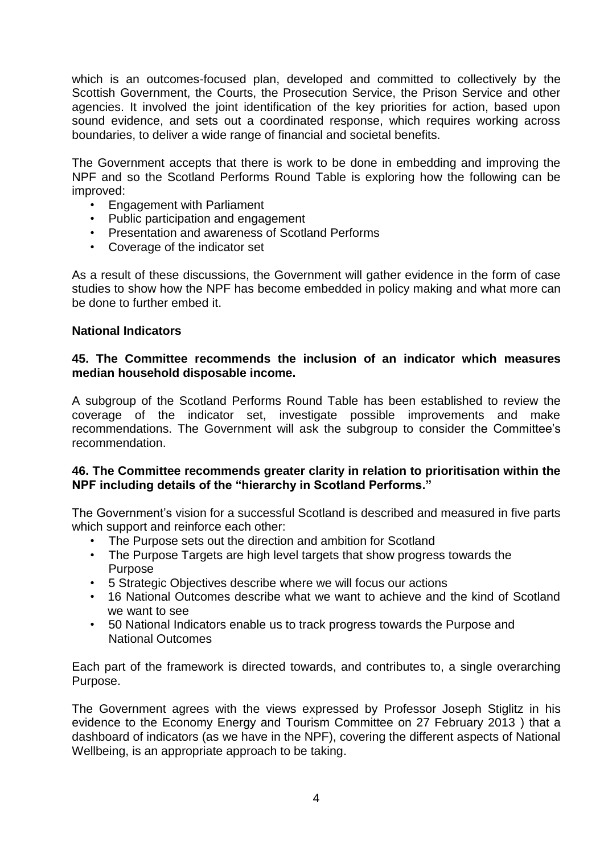which is an outcomes-focused plan, developed and committed to collectively by the Scottish Government, the Courts, the Prosecution Service, the Prison Service and other agencies. It involved the joint identification of the key priorities for action, based upon sound evidence, and sets out a coordinated response, which requires working across boundaries, to deliver a wide range of financial and societal benefits.

The Government accepts that there is work to be done in embedding and improving the NPF and so the Scotland Performs Round Table is exploring how the following can be improved:

- Engagement with Parliament
- Public participation and engagement
- Presentation and awareness of Scotland Performs
- Coverage of the indicator set

As a result of these discussions, the Government will gather evidence in the form of case studies to show how the NPF has become embedded in policy making and what more can be done to further embed it.

## **National Indicators**

## **45. The Committee recommends the inclusion of an indicator which measures median household disposable income.**

A subgroup of the Scotland Performs Round Table has been established to review the coverage of the indicator set, investigate possible improvements and make recommendations. The Government will ask the subgroup to consider the Committee's recommendation.

## **46. The Committee recommends greater clarity in relation to prioritisation within the NPF including details of the "hierarchy in Scotland Performs."**

The Government's vision for a successful Scotland is described and measured in five parts which support and reinforce each other:

- The Purpose sets out the direction and ambition for Scotland
- The Purpose Targets are high level targets that show progress towards the Purpose
- 5 Strategic Objectives describe where we will focus our actions
- 16 National Outcomes describe what we want to achieve and the kind of Scotland we want to see
- 50 National Indicators enable us to track progress towards the Purpose and National Outcomes

Each part of the framework is directed towards, and contributes to, a single overarching Purpose.

The Government agrees with the views expressed by Professor Joseph Stiglitz in his evidence to the Economy Energy and Tourism Committee on 27 February 2013 ) that a dashboard of indicators (as we have in the NPF), covering the different aspects of National Wellbeing, is an appropriate approach to be taking.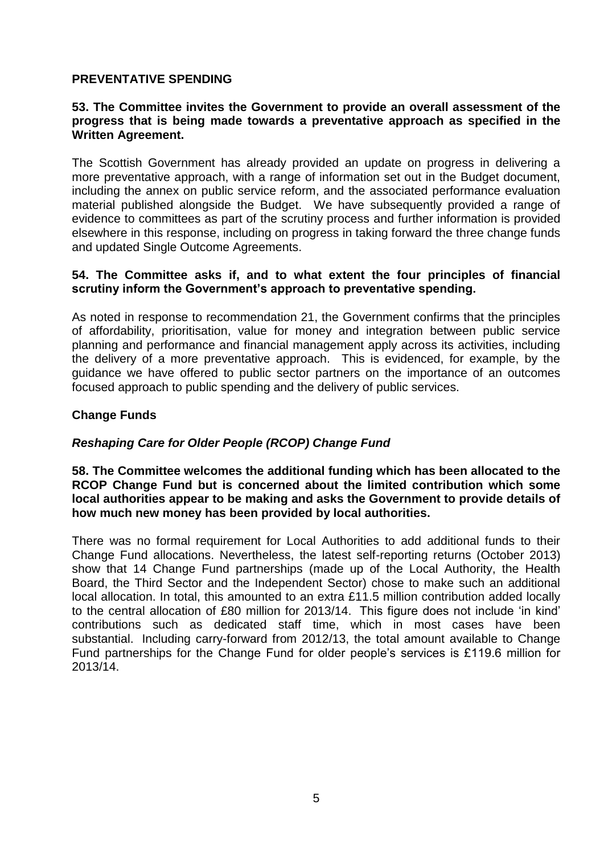# **PREVENTATIVE SPENDING**

## **53. The Committee invites the Government to provide an overall assessment of the progress that is being made towards a preventative approach as specified in the Written Agreement.**

The Scottish Government has already provided an update on progress in delivering a more preventative approach, with a range of information set out in the Budget document, including the annex on public service reform, and the associated performance evaluation material published alongside the Budget. We have subsequently provided a range of evidence to committees as part of the scrutiny process and further information is provided elsewhere in this response, including on progress in taking forward the three change funds and updated Single Outcome Agreements.

## **54. The Committee asks if, and to what extent the four principles of financial scrutiny inform the Government's approach to preventative spending.**

As noted in response to recommendation 21, the Government confirms that the principles of affordability, prioritisation, value for money and integration between public service planning and performance and financial management apply across its activities, including the delivery of a more preventative approach. This is evidenced, for example, by the guidance we have offered to public sector partners on the importance of an outcomes focused approach to public spending and the delivery of public services.

## **Change Funds**

## *Reshaping Care for Older People (RCOP) Change Fund*

### **58. The Committee welcomes the additional funding which has been allocated to the RCOP Change Fund but is concerned about the limited contribution which some local authorities appear to be making and asks the Government to provide details of how much new money has been provided by local authorities.**

There was no formal requirement for Local Authorities to add additional funds to their Change Fund allocations. Nevertheless, the latest self-reporting returns (October 2013) show that 14 Change Fund partnerships (made up of the Local Authority, the Health Board, the Third Sector and the Independent Sector) chose to make such an additional local allocation. In total, this amounted to an extra £11.5 million contribution added locally to the central allocation of £80 million for 2013/14. This figure does not include 'in kind' contributions such as dedicated staff time, which in most cases have been substantial. Including carry-forward from 2012/13, the total amount available to Change Fund partnerships for the Change Fund for older people's services is £119.6 million for 2013/14.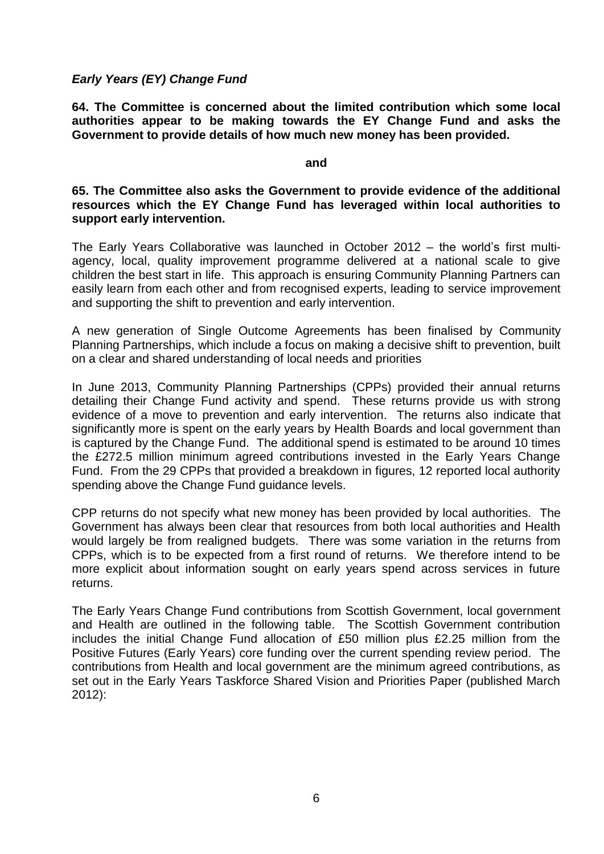## *Early Years (EY) Change Fund*

**64. The Committee is concerned about the limited contribution which some local authorities appear to be making towards the EY Change Fund and asks the Government to provide details of how much new money has been provided.** 

#### **and**

### **65. The Committee also asks the Government to provide evidence of the additional resources which the EY Change Fund has leveraged within local authorities to support early intervention.**

The Early Years Collaborative was launched in October 2012 – the world's first multiagency, local, quality improvement programme delivered at a national scale to give children the best start in life. This approach is ensuring Community Planning Partners can easily learn from each other and from recognised experts, leading to service improvement and supporting the shift to prevention and early intervention.

A new generation of Single Outcome Agreements has been finalised by Community Planning Partnerships, which include a focus on making a decisive shift to prevention, built on a clear and shared understanding of local needs and priorities

In June 2013, Community Planning Partnerships (CPPs) provided their annual returns detailing their Change Fund activity and spend. These returns provide us with strong evidence of a move to prevention and early intervention. The returns also indicate that significantly more is spent on the early years by Health Boards and local government than is captured by the Change Fund. The additional spend is estimated to be around 10 times the £272.5 million minimum agreed contributions invested in the Early Years Change Fund. From the 29 CPPs that provided a breakdown in figures, 12 reported local authority spending above the Change Fund guidance levels.

CPP returns do not specify what new money has been provided by local authorities. The Government has always been clear that resources from both local authorities and Health would largely be from realigned budgets. There was some variation in the returns from CPPs, which is to be expected from a first round of returns. We therefore intend to be more explicit about information sought on early years spend across services in future returns.

The Early Years Change Fund contributions from Scottish Government, local government and Health are outlined in the following table. The Scottish Government contribution includes the initial Change Fund allocation of £50 million plus £2.25 million from the Positive Futures (Early Years) core funding over the current spending review period. The contributions from Health and local government are the minimum agreed contributions, as set out in the Early Years Taskforce Shared Vision and Priorities Paper (published March 2012):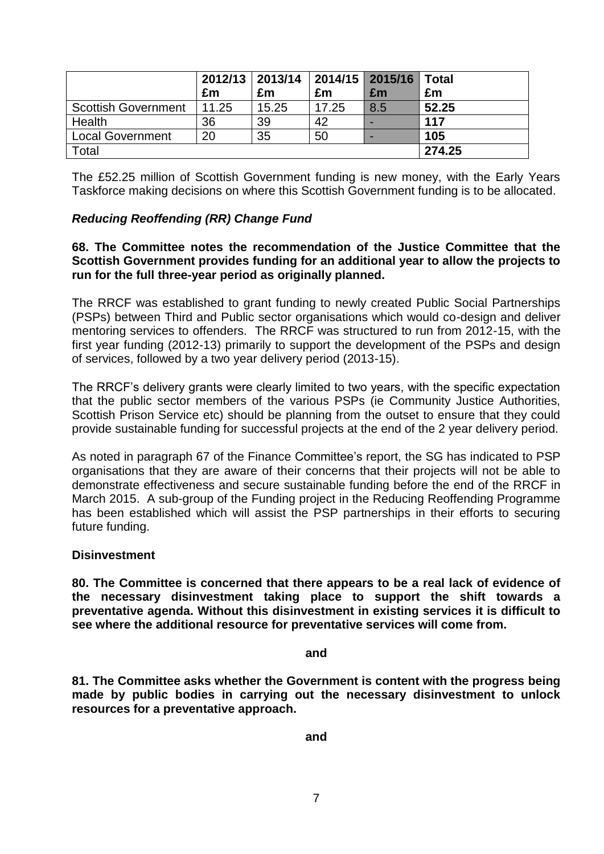|                            |       | 2012/13   2013/14   2014/15   2015/16   Total |       |     |        |
|----------------------------|-------|-----------------------------------------------|-------|-----|--------|
|                            | £m    | £m                                            | £m    | £m  | £m     |
| <b>Scottish Government</b> | 11.25 | 15.25                                         | 17.25 | 8.5 | 52.25  |
| Health                     | 36    | 39                                            | 42    |     | 117    |
| <b>Local Government</b>    | 20    | 35                                            | 50    |     | 105    |
| Total                      |       |                                               |       |     | 274.25 |

The £52.25 million of Scottish Government funding is new money, with the Early Years Taskforce making decisions on where this Scottish Government funding is to be allocated.

# *Reducing Reoffending (RR) Change Fund*

## **68. The Committee notes the recommendation of the Justice Committee that the Scottish Government provides funding for an additional year to allow the projects to run for the full three-year period as originally planned.**

The RRCF was established to grant funding to newly created Public Social Partnerships (PSPs) between Third and Public sector organisations which would co-design and deliver mentoring services to offenders. The RRCF was structured to run from 2012-15, with the first year funding (2012-13) primarily to support the development of the PSPs and design of services, followed by a two year delivery period (2013-15).

The RRCF's delivery grants were clearly limited to two years, with the specific expectation that the public sector members of the various PSPs (ie Community Justice Authorities, Scottish Prison Service etc) should be planning from the outset to ensure that they could provide sustainable funding for successful projects at the end of the 2 year delivery period.

As noted in paragraph 67 of the Finance Committee's report, the SG has indicated to PSP organisations that they are aware of their concerns that their projects will not be able to demonstrate effectiveness and secure sustainable funding before the end of the RRCF in March 2015. A sub-group of the Funding project in the Reducing Reoffending Programme has been established which will assist the PSP partnerships in their efforts to securing future funding.

## **Disinvestment**

**80. The Committee is concerned that there appears to be a real lack of evidence of the necessary disinvestment taking place to support the shift towards a preventative agenda. Without this disinvestment in existing services it is difficult to see where the additional resource for preventative services will come from.** 

#### **and**

**81. The Committee asks whether the Government is content with the progress being made by public bodies in carrying out the necessary disinvestment to unlock resources for a preventative approach.** 

**and**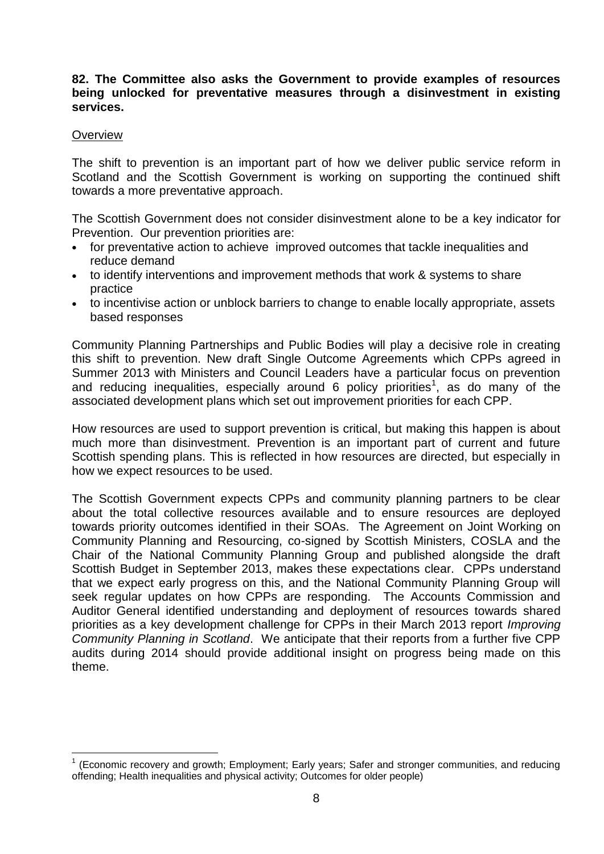## **82. The Committee also asks the Government to provide examples of resources being unlocked for preventative measures through a disinvestment in existing services.**

### **Overview**

The shift to prevention is an important part of how we deliver public service reform in Scotland and the Scottish Government is working on supporting the continued shift towards a more preventative approach.

The Scottish Government does not consider disinvestment alone to be a key indicator for Prevention. Our prevention priorities are:

- for preventative action to achieve improved outcomes that tackle inequalities and reduce demand
- to identify interventions and improvement methods that work & systems to share practice
- to incentivise action or unblock barriers to change to enable locally appropriate, assets based responses

Community Planning Partnerships and Public Bodies will play a decisive role in creating this shift to prevention. New draft Single Outcome Agreements which CPPs agreed in Summer 2013 with Ministers and Council Leaders have a particular focus on prevention and reducing inequalities, especially around 6 policy priorities<sup>1</sup>, as do many of the associated development plans which set out improvement priorities for each CPP.

How resources are used to support prevention is critical, but making this happen is about much more than disinvestment. Prevention is an important part of current and future Scottish spending plans. This is reflected in how resources are directed, but especially in how we expect resources to be used.

The Scottish Government expects CPPs and community planning partners to be clear about the total collective resources available and to ensure resources are deployed towards priority outcomes identified in their SOAs. The Agreement on Joint Working on Community Planning and Resourcing, co-signed by Scottish Ministers, COSLA and the Chair of the National Community Planning Group and published alongside the draft Scottish Budget in September 2013, makes these expectations clear. CPPs understand that we expect early progress on this, and the National Community Planning Group will seek regular updates on how CPPs are responding. The Accounts Commission and Auditor General identified understanding and deployment of resources towards shared priorities as a key development challenge for CPPs in their March 2013 report *Improving Community Planning in Scotland*. We anticipate that their reports from a further five CPP audits during 2014 should provide additional insight on progress being made on this theme.

<sup>————————————————————&</sup>lt;br><sup>1</sup> (Economic recovery and growth; Employment; Early years; Safer and stronger communities, and reducing offending; Health inequalities and physical activity; Outcomes for older people)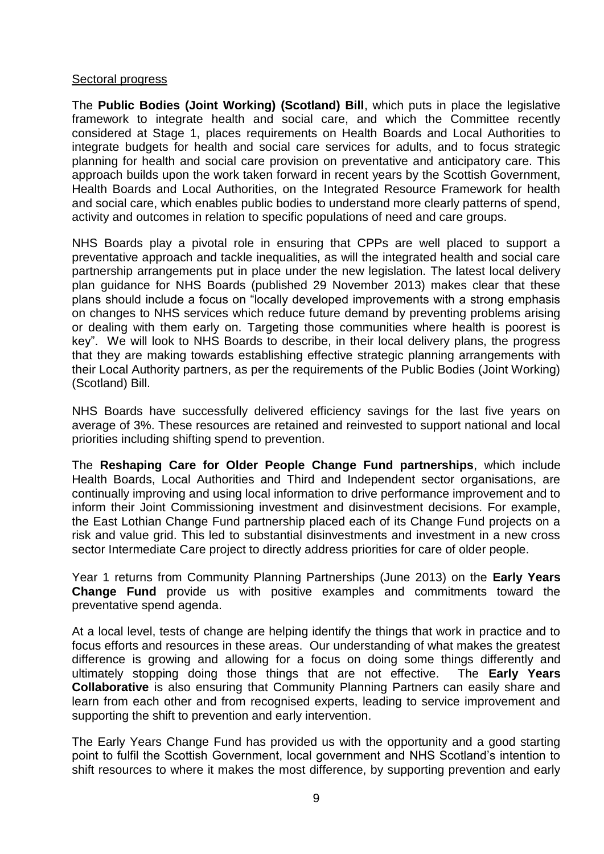## Sectoral progress

The **Public Bodies (Joint Working) (Scotland) Bill**, which puts in place the legislative framework to integrate health and social care, and which the Committee recently considered at Stage 1, places requirements on Health Boards and Local Authorities to integrate budgets for health and social care services for adults, and to focus strategic planning for health and social care provision on preventative and anticipatory care. This approach builds upon the work taken forward in recent years by the Scottish Government, Health Boards and Local Authorities, on the Integrated Resource Framework for health and social care, which enables public bodies to understand more clearly patterns of spend, activity and outcomes in relation to specific populations of need and care groups.

NHS Boards play a pivotal role in ensuring that CPPs are well placed to support a preventative approach and tackle inequalities, as will the integrated health and social care partnership arrangements put in place under the new legislation. The latest local delivery plan guidance for NHS Boards (published 29 November 2013) makes clear that these plans should include a focus on "locally developed improvements with a strong emphasis on changes to NHS services which reduce future demand by preventing problems arising or dealing with them early on. Targeting those communities where health is poorest is key". We will look to NHS Boards to describe, in their local delivery plans, the progress that they are making towards establishing effective strategic planning arrangements with their Local Authority partners, as per the requirements of the Public Bodies (Joint Working) (Scotland) Bill.

NHS Boards have successfully delivered efficiency savings for the last five years on average of 3%. These resources are retained and reinvested to support national and local priorities including shifting spend to prevention.

The **Reshaping Care for Older People Change Fund partnerships**, which include Health Boards, Local Authorities and Third and Independent sector organisations, are continually improving and using local information to drive performance improvement and to inform their Joint Commissioning investment and disinvestment decisions. For example, the East Lothian Change Fund partnership placed each of its Change Fund projects on a risk and value grid. This led to substantial disinvestments and investment in a new cross sector Intermediate Care project to directly address priorities for care of older people.

Year 1 returns from Community Planning Partnerships (June 2013) on the **Early Years Change Fund** provide us with positive examples and commitments toward the preventative spend agenda.

At a local level, tests of change are helping identify the things that work in practice and to focus efforts and resources in these areas. Our understanding of what makes the greatest difference is growing and allowing for a focus on doing some things differently and ultimately stopping doing those things that are not effective. The **Early Years Collaborative** is also ensuring that Community Planning Partners can easily share and learn from each other and from recognised experts, leading to service improvement and supporting the shift to prevention and early intervention.

The Early Years Change Fund has provided us with the opportunity and a good starting point to fulfil the Scottish Government, local government and NHS Scotland's intention to shift resources to where it makes the most difference, by supporting prevention and early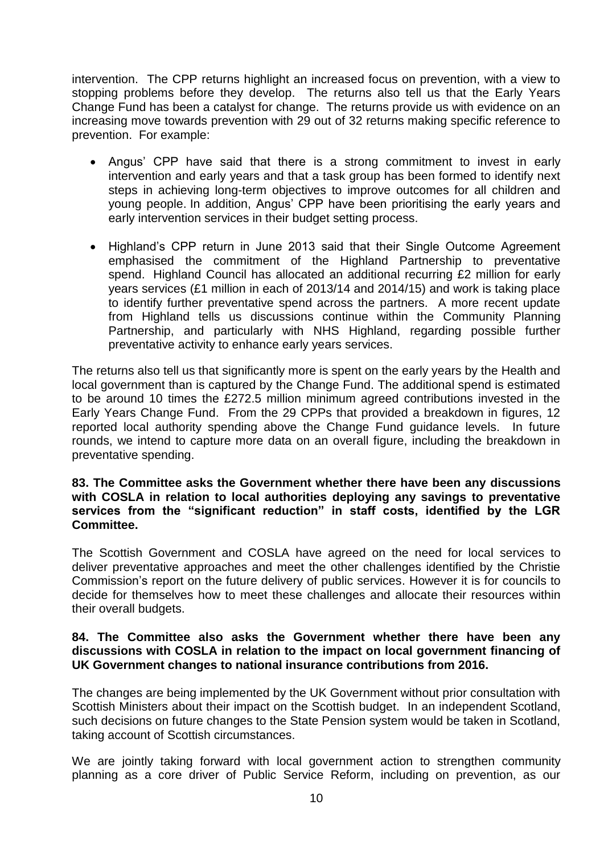intervention. The CPP returns highlight an increased focus on prevention, with a view to stopping problems before they develop. The returns also tell us that the Early Years Change Fund has been a catalyst for change. The returns provide us with evidence on an increasing move towards prevention with 29 out of 32 returns making specific reference to prevention. For example:

- Angus' CPP have said that there is a strong commitment to invest in early intervention and early years and that a task group has been formed to identify next steps in achieving long-term objectives to improve outcomes for all children and young people. In addition, Angus' CPP have been prioritising the early years and early intervention services in their budget setting process.
- Highland's CPP return in June 2013 said that their Single Outcome Agreement emphasised the commitment of the Highland Partnership to preventative spend. Highland Council has allocated an additional recurring £2 million for early years services (£1 million in each of 2013/14 and 2014/15) and work is taking place to identify further preventative spend across the partners. A more recent update from Highland tells us discussions continue within the Community Planning Partnership, and particularly with NHS Highland, regarding possible further preventative activity to enhance early years services.

The returns also tell us that significantly more is spent on the early years by the Health and local government than is captured by the Change Fund. The additional spend is estimated to be around 10 times the £272.5 million minimum agreed contributions invested in the Early Years Change Fund. From the 29 CPPs that provided a breakdown in figures, 12 reported local authority spending above the Change Fund guidance levels. In future rounds, we intend to capture more data on an overall figure, including the breakdown in preventative spending.

## **83. The Committee asks the Government whether there have been any discussions with COSLA in relation to local authorities deploying any savings to preventative services from the "significant reduction" in staff costs, identified by the LGR Committee.**

The Scottish Government and COSLA have agreed on the need for local services to deliver preventative approaches and meet the other challenges identified by the Christie Commission's report on the future delivery of public services. However it is for councils to decide for themselves how to meet these challenges and allocate their resources within their overall budgets.

## **84. The Committee also asks the Government whether there have been any discussions with COSLA in relation to the impact on local government financing of UK Government changes to national insurance contributions from 2016.**

The changes are being implemented by the UK Government without prior consultation with Scottish Ministers about their impact on the Scottish budget. In an independent Scotland, such decisions on future changes to the State Pension system would be taken in Scotland, taking account of Scottish circumstances.

We are jointly taking forward with local government action to strengthen community planning as a core driver of Public Service Reform, including on prevention, as our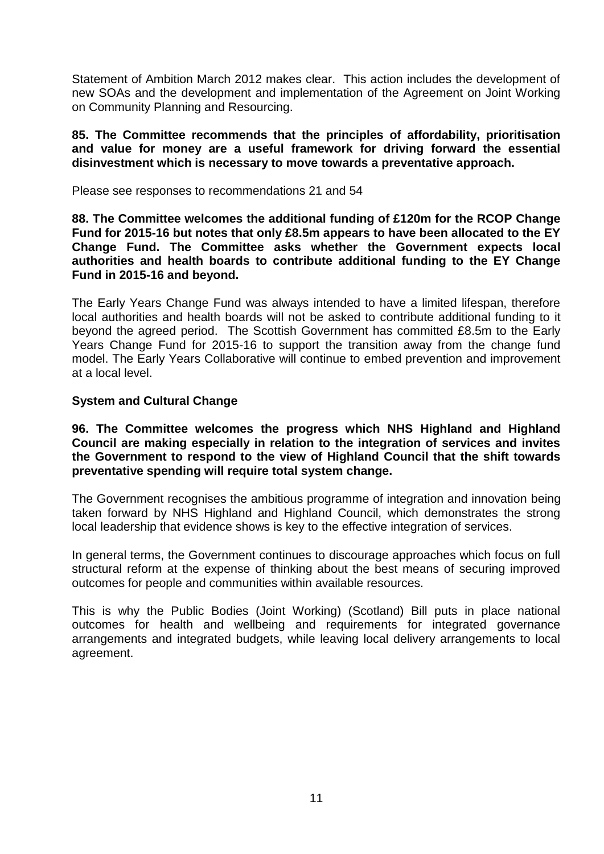Statement of Ambition March 2012 makes clear. This action includes the development of new SOAs and the development and implementation of the Agreement on Joint Working on Community Planning and Resourcing.

**85. The Committee recommends that the principles of affordability, prioritisation and value for money are a useful framework for driving forward the essential disinvestment which is necessary to move towards a preventative approach.** 

Please see responses to recommendations 21 and 54

**88. The Committee welcomes the additional funding of £120m for the RCOP Change Fund for 2015-16 but notes that only £8.5m appears to have been allocated to the EY Change Fund. The Committee asks whether the Government expects local authorities and health boards to contribute additional funding to the EY Change Fund in 2015-16 and beyond.** 

The Early Years Change Fund was always intended to have a limited lifespan, therefore local authorities and health boards will not be asked to contribute additional funding to it beyond the agreed period. The Scottish Government has committed £8.5m to the Early Years Change Fund for 2015-16 to support the transition away from the change fund model. The Early Years Collaborative will continue to embed prevention and improvement at a local level.

# **System and Cultural Change**

**96. The Committee welcomes the progress which NHS Highland and Highland Council are making especially in relation to the integration of services and invites the Government to respond to the view of Highland Council that the shift towards preventative spending will require total system change.** 

The Government recognises the ambitious programme of integration and innovation being taken forward by NHS Highland and Highland Council, which demonstrates the strong local leadership that evidence shows is key to the effective integration of services.

In general terms, the Government continues to discourage approaches which focus on full structural reform at the expense of thinking about the best means of securing improved outcomes for people and communities within available resources.

This is why the Public Bodies (Joint Working) (Scotland) Bill puts in place national outcomes for health and wellbeing and requirements for integrated governance arrangements and integrated budgets, while leaving local delivery arrangements to local agreement.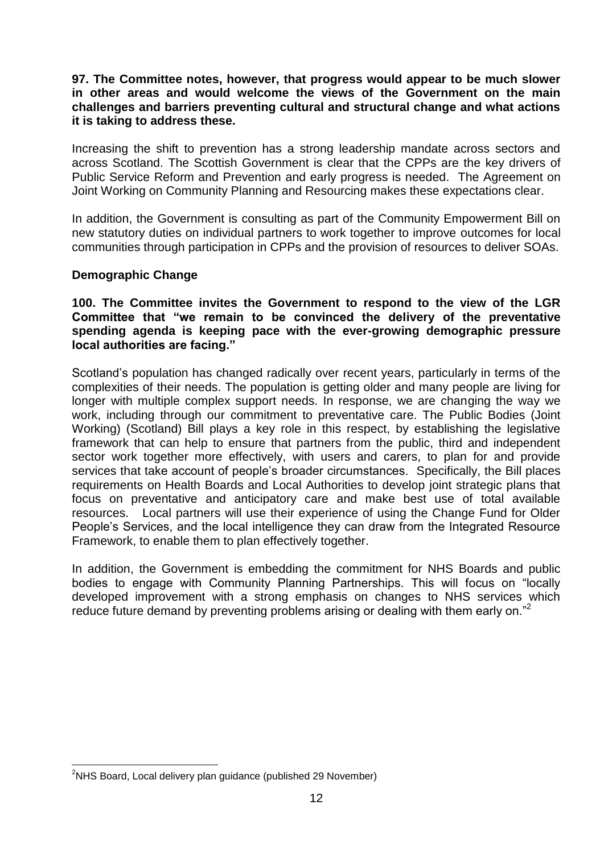## **97. The Committee notes, however, that progress would appear to be much slower in other areas and would welcome the views of the Government on the main challenges and barriers preventing cultural and structural change and what actions it is taking to address these.**

Increasing the shift to prevention has a strong leadership mandate across sectors and across Scotland. The Scottish Government is clear that the CPPs are the key drivers of Public Service Reform and Prevention and early progress is needed. The Agreement on Joint Working on Community Planning and Resourcing makes these expectations clear.

In addition, the Government is consulting as part of the Community Empowerment Bill on new statutory duties on individual partners to work together to improve outcomes for local communities through participation in CPPs and the provision of resources to deliver SOAs.

## **Demographic Change**

**100. The Committee invites the Government to respond to the view of the LGR Committee that "we remain to be convinced the delivery of the preventative spending agenda is keeping pace with the ever-growing demographic pressure local authorities are facing."** 

Scotland's population has changed radically over recent years, particularly in terms of the complexities of their needs. The population is getting older and many people are living for longer with multiple complex support needs. In response, we are changing the way we work, including through our commitment to preventative care. The Public Bodies (Joint Working) (Scotland) Bill plays a key role in this respect, by establishing the legislative framework that can help to ensure that partners from the public, third and independent sector work together more effectively, with users and carers, to plan for and provide services that take account of people's broader circumstances. Specifically, the Bill places requirements on Health Boards and Local Authorities to develop joint strategic plans that focus on preventative and anticipatory care and make best use of total available resources. Local partners will use their experience of using the Change Fund for Older People's Services, and the local intelligence they can draw from the Integrated Resource Framework, to enable them to plan effectively together.

In addition, the Government is embedding the commitment for NHS Boards and public bodies to engage with Community Planning Partnerships. This will focus on "locally developed improvement with a strong emphasis on changes to NHS services which reduce future demand by preventing problems arising or dealing with them early on."<sup>2</sup>

 $\overline{a}$ 

<sup>&</sup>lt;sup>2</sup>NHS Board, Local delivery plan guidance (published 29 November)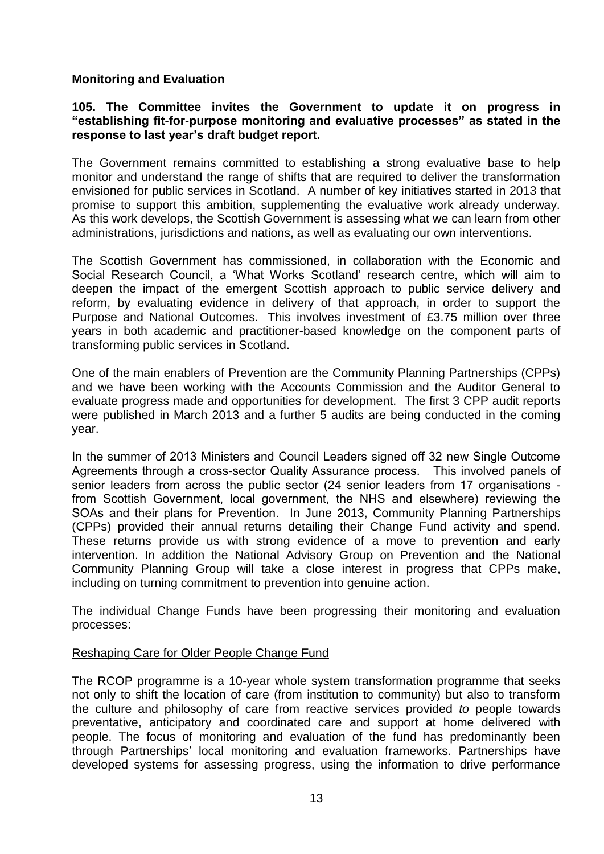# **Monitoring and Evaluation**

## **105. The Committee invites the Government to update it on progress in "establishing fit-for-purpose monitoring and evaluative processes" as stated in the response to last year's draft budget report.**

The Government remains committed to establishing a strong evaluative base to help monitor and understand the range of shifts that are required to deliver the transformation envisioned for public services in Scotland. A number of key initiatives started in 2013 that promise to support this ambition, supplementing the evaluative work already underway. As this work develops, the Scottish Government is assessing what we can learn from other administrations, jurisdictions and nations, as well as evaluating our own interventions.

The Scottish Government has commissioned, in collaboration with the Economic and Social Research Council, a 'What Works Scotland' research centre, which will aim to deepen the impact of the emergent Scottish approach to public service delivery and reform, by evaluating evidence in delivery of that approach, in order to support the Purpose and National Outcomes. This involves investment of £3.75 million over three years in both academic and practitioner-based knowledge on the component parts of transforming public services in Scotland.

One of the main enablers of Prevention are the Community Planning Partnerships (CPPs) and we have been working with the Accounts Commission and the Auditor General to evaluate progress made and opportunities for development. The first 3 CPP audit reports were published in March 2013 and a further 5 audits are being conducted in the coming year.

In the summer of 2013 Ministers and Council Leaders signed off 32 new Single Outcome Agreements through a cross-sector Quality Assurance process. This involved panels of senior leaders from across the public sector (24 senior leaders from 17 organisations from Scottish Government, local government, the NHS and elsewhere) reviewing the SOAs and their plans for Prevention. In June 2013, Community Planning Partnerships (CPPs) provided their annual returns detailing their Change Fund activity and spend. These returns provide us with strong evidence of a move to prevention and early intervention. In addition the National Advisory Group on Prevention and the National Community Planning Group will take a close interest in progress that CPPs make, including on turning commitment to prevention into genuine action.

The individual Change Funds have been progressing their monitoring and evaluation processes:

## Reshaping Care for Older People Change Fund

The RCOP programme is a 10-year whole system transformation programme that seeks not only to shift the location of care (from institution to community) but also to transform the culture and philosophy of care from reactive services provided *to* people towards preventative, anticipatory and coordinated care and support at home delivered with people. The focus of monitoring and evaluation of the fund has predominantly been through Partnerships' local monitoring and evaluation frameworks. Partnerships have developed systems for assessing progress, using the information to drive performance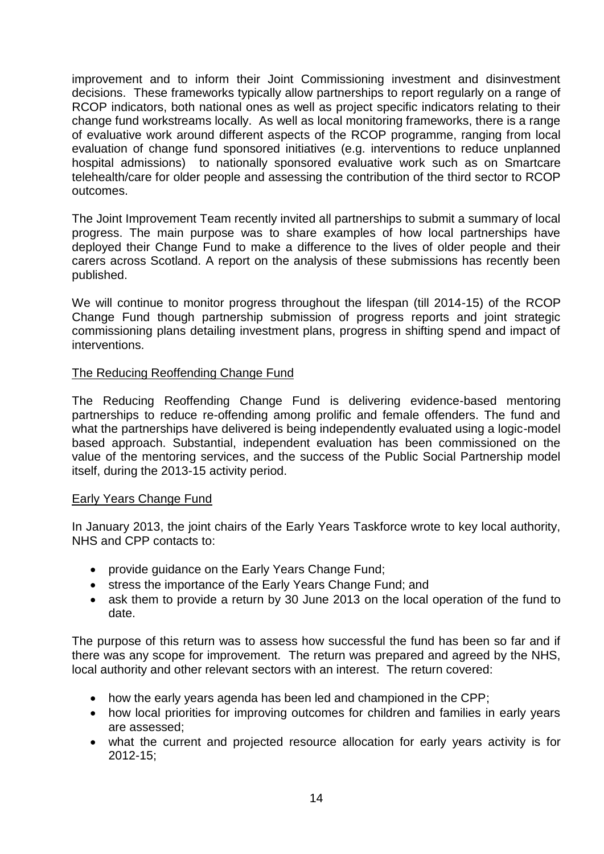improvement and to inform their Joint Commissioning investment and disinvestment decisions. These frameworks typically allow partnerships to report regularly on a range of RCOP indicators, both national ones as well as project specific indicators relating to their change fund workstreams locally. As well as local monitoring frameworks, there is a range of evaluative work around different aspects of the RCOP programme, ranging from local evaluation of change fund sponsored initiatives (e.g. interventions to reduce unplanned hospital admissions) to nationally sponsored evaluative work such as on Smartcare telehealth/care for older people and assessing the contribution of the third sector to RCOP outcomes.

The Joint Improvement Team recently invited all partnerships to submit a summary of local progress. The main purpose was to share examples of how local partnerships have deployed their Change Fund to make a difference to the lives of older people and their carers across Scotland. A report on the analysis of these submissions has recently been published.

We will continue to monitor progress throughout the lifespan (till 2014-15) of the RCOP Change Fund though partnership submission of progress reports and joint strategic commissioning plans detailing investment plans, progress in shifting spend and impact of interventions.

## The Reducing Reoffending Change Fund

The Reducing Reoffending Change Fund is delivering evidence-based mentoring partnerships to reduce re-offending among prolific and female offenders. The fund and what the partnerships have delivered is being independently evaluated using a logic-model based approach. Substantial, independent evaluation has been commissioned on the value of the mentoring services, and the success of the Public Social Partnership model itself, during the 2013-15 activity period.

#### Early Years Change Fund

In January 2013, the joint chairs of the Early Years Taskforce wrote to key local authority, NHS and CPP contacts to:

- provide guidance on the Early Years Change Fund;
- stress the importance of the Early Years Change Fund; and
- ask them to provide a return by 30 June 2013 on the local operation of the fund to date.

The purpose of this return was to assess how successful the fund has been so far and if there was any scope for improvement. The return was prepared and agreed by the NHS, local authority and other relevant sectors with an interest.The return covered:

- how the early years agenda has been led and championed in the CPP;
- how local priorities for improving outcomes for children and families in early years are assessed;
- what the current and projected resource allocation for early years activity is for 2012-15;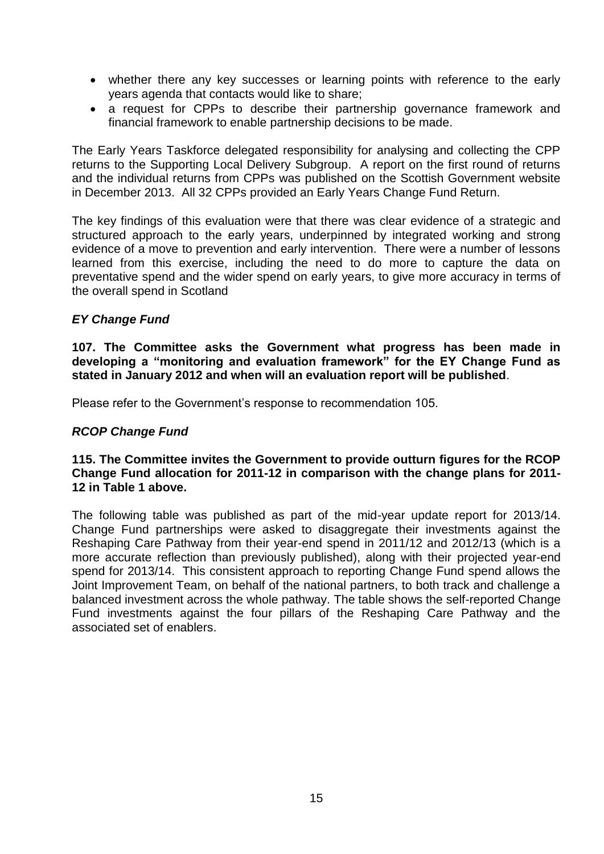- whether there any key successes or learning points with reference to the early years agenda that contacts would like to share;
- a request for CPPs to describe their partnership governance framework and financial framework to enable partnership decisions to be made.

The Early Years Taskforce delegated responsibility for analysing and collecting the CPP returns to the Supporting Local Delivery Subgroup. A report on the first round of returns and the individual returns from CPPs was published on the Scottish Government website in December 2013. All 32 CPPs provided an Early Years Change Fund Return.

The key findings of this evaluation were that there was clear evidence of a strategic and structured approach to the early years, underpinned by integrated working and strong evidence of a move to prevention and early intervention. There were a number of lessons learned from this exercise, including the need to do more to capture the data on preventative spend and the wider spend on early years, to give more accuracy in terms of the overall spend in Scotland

# *EY Change Fund*

**107. The Committee asks the Government what progress has been made in developing a "monitoring and evaluation framework" for the EY Change Fund as stated in January 2012 and when will an evaluation report will be published**.

Please refer to the Government's response to recommendation 105.

## *RCOP Change Fund*

## **115. The Committee invites the Government to provide outturn figures for the RCOP Change Fund allocation for 2011-12 in comparison with the change plans for 2011- 12 in Table 1 above.**

The following table was published as part of the mid-year update report for 2013/14. Change Fund partnerships were asked to disaggregate their investments against the Reshaping Care Pathway from their year-end spend in 2011/12 and 2012/13 (which is a more accurate reflection than previously published), along with their projected year-end spend for 2013/14. This consistent approach to reporting Change Fund spend allows the Joint Improvement Team, on behalf of the national partners, to both track and challenge a balanced investment across the whole pathway. The table shows the self-reported Change Fund investments against the four pillars of the Reshaping Care Pathway and the associated set of enablers.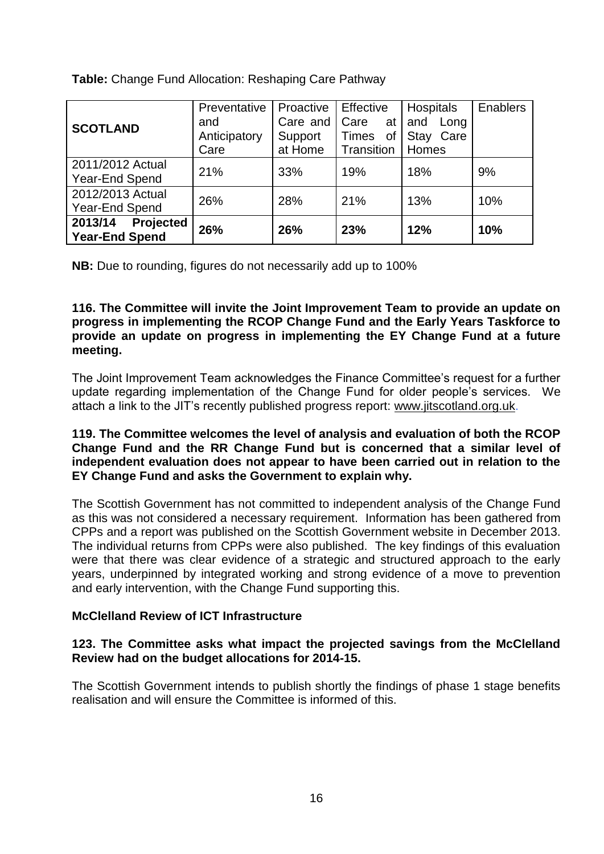**Table:** Change Fund Allocation: Reshaping Care Pathway

|                             | Preventative | Proactive | Effective   | <b>Hospitals</b> | Enablers |
|-----------------------------|--------------|-----------|-------------|------------------|----------|
| <b>SCOTLAND</b>             | and          | Care and  | Care<br>at  | and<br>Long      |          |
|                             | Anticipatory | Support   | Times<br>0f | Stay<br>Care     |          |
|                             | Care         | at Home   | Transition  | Homes            |          |
| 2011/2012 Actual            | 21%          | 33%       | 19%         | 18%              | 9%       |
| Year-End Spend              |              |           |             |                  |          |
| 2012/2013 Actual            | 26%          | 28%       | 21%         | 13%              | 10%      |
| Year-End Spend              |              |           |             |                  |          |
| 2013/14<br><b>Projected</b> | 26%          | 26%       | 23%         | 12%              | 10%      |
| <b>Year-End Spend</b>       |              |           |             |                  |          |

**NB:** Due to rounding, figures do not necessarily add up to 100%

**116. The Committee will invite the Joint Improvement Team to provide an update on progress in implementing the RCOP Change Fund and the Early Years Taskforce to provide an update on progress in implementing the EY Change Fund at a future meeting.** 

The Joint Improvement Team acknowledges the Finance Committee's request for a further update regarding implementation of the Change Fund for older people's services. We attach a link to the JIT's recently published progress report: [www.jitscotland.org.uk.](http://www.jitscotland.org.uk/)

## **119. The Committee welcomes the level of analysis and evaluation of both the RCOP Change Fund and the RR Change Fund but is concerned that a similar level of independent evaluation does not appear to have been carried out in relation to the EY Change Fund and asks the Government to explain why.**

The Scottish Government has not committed to independent analysis of the Change Fund as this was not considered a necessary requirement. Information has been gathered from CPPs and a report was published on the Scottish Government website in December 2013. The individual returns from CPPs were also published. The key findings of this evaluation were that there was clear evidence of a strategic and structured approach to the early years, underpinned by integrated working and strong evidence of a move to prevention and early intervention, with the Change Fund supporting this.

# **McClelland Review of ICT Infrastructure**

## **123. The Committee asks what impact the projected savings from the McClelland Review had on the budget allocations for 2014-15.**

The Scottish Government intends to publish shortly the findings of phase 1 stage benefits realisation and will ensure the Committee is informed of this.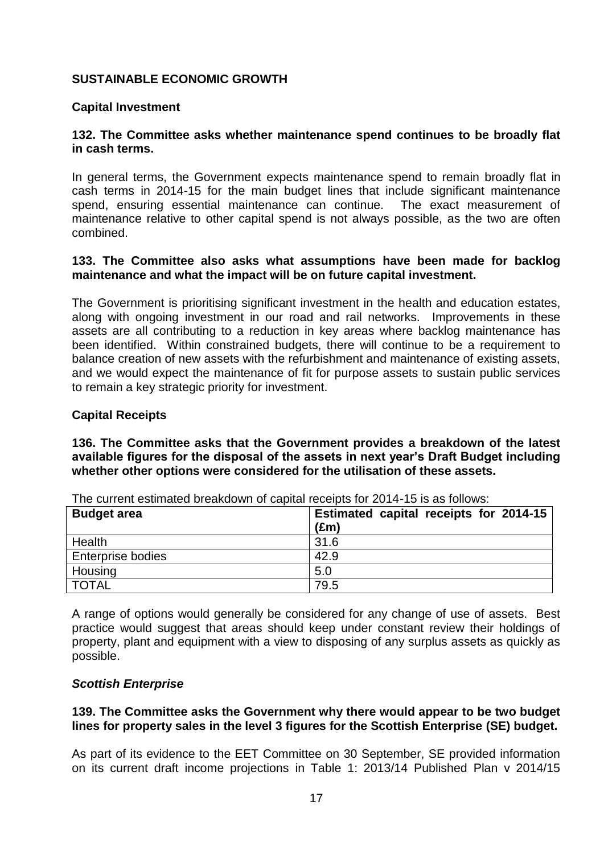# **SUSTAINABLE ECONOMIC GROWTH**

## **Capital Investment**

## **132. The Committee asks whether maintenance spend continues to be broadly flat in cash terms.**

In general terms, the Government expects maintenance spend to remain broadly flat in cash terms in 2014-15 for the main budget lines that include significant maintenance spend, ensuring essential maintenance can continue. The exact measurement of maintenance relative to other capital spend is not always possible, as the two are often combined.

### **133. The Committee also asks what assumptions have been made for backlog maintenance and what the impact will be on future capital investment.**

The Government is prioritising significant investment in the health and education estates, along with ongoing investment in our road and rail networks. Improvements in these assets are all contributing to a reduction in key areas where backlog maintenance has been identified. Within constrained budgets, there will continue to be a requirement to balance creation of new assets with the refurbishment and maintenance of existing assets, and we would expect the maintenance of fit for purpose assets to sustain public services to remain a key strategic priority for investment.

### **Capital Receipts**

**136. The Committee asks that the Government provides a breakdown of the latest available figures for the disposal of the assets in next year's Draft Budget including whether other options were considered for the utilisation of these assets.** 

| <b>Budget area</b>       | Estimated capital receipts for 2014-15<br>$(\text{Em})$ |
|--------------------------|---------------------------------------------------------|
| Health                   | 31.6                                                    |
| <b>Enterprise bodies</b> | 42.9                                                    |
| Housing                  | 5.0                                                     |
| <b>TOTAL</b>             | 79.5                                                    |

The current estimated breakdown of capital receipts for 2014-15 is as follows:

A range of options would generally be considered for any change of use of assets. Best practice would suggest that areas should keep under constant review their holdings of property, plant and equipment with a view to disposing of any surplus assets as quickly as possible.

#### *Scottish Enterprise*

### **139. The Committee asks the Government why there would appear to be two budget lines for property sales in the level 3 figures for the Scottish Enterprise (SE) budget.**

As part of its evidence to the EET Committee on 30 September, SE provided information on its current draft income projections in Table 1: 2013/14 Published Plan v 2014/15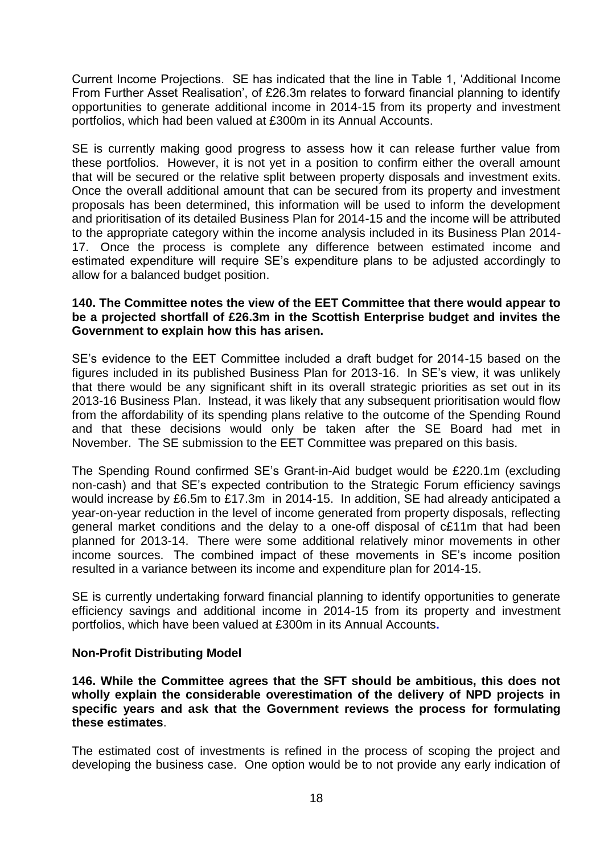Current Income Projections. SE has indicated that the line in Table 1, 'Additional Income From Further Asset Realisation', of £26.3m relates to forward financial planning to identify opportunities to generate additional income in 2014-15 from its property and investment portfolios, which had been valued at £300m in its Annual Accounts.

SE is currently making good progress to assess how it can release further value from these portfolios. However, it is not yet in a position to confirm either the overall amount that will be secured or the relative split between property disposals and investment exits. Once the overall additional amount that can be secured from its property and investment proposals has been determined, this information will be used to inform the development and prioritisation of its detailed Business Plan for 2014-15 and the income will be attributed to the appropriate category within the income analysis included in its Business Plan 2014- 17. Once the process is complete any difference between estimated income and estimated expenditure will require SE's expenditure plans to be adjusted accordingly to allow for a balanced budget position.

## **140. The Committee notes the view of the EET Committee that there would appear to be a projected shortfall of £26.3m in the Scottish Enterprise budget and invites the Government to explain how this has arisen.**

SE's evidence to the EET Committee included a draft budget for 2014-15 based on the figures included in its published Business Plan for 2013-16. In SE's view, it was unlikely that there would be any significant shift in its overall strategic priorities as set out in its 2013-16 Business Plan. Instead, it was likely that any subsequent prioritisation would flow from the affordability of its spending plans relative to the outcome of the Spending Round and that these decisions would only be taken after the SE Board had met in November. The SE submission to the EET Committee was prepared on this basis.

The Spending Round confirmed SE's Grant-in-Aid budget would be £220.1m (excluding non-cash) and that SE's expected contribution to the Strategic Forum efficiency savings would increase by £6.5m to £17.3m in 2014-15. In addition, SE had already anticipated a year-on-year reduction in the level of income generated from property disposals, reflecting general market conditions and the delay to a one-off disposal of c£11m that had been planned for 2013-14. There were some additional relatively minor movements in other income sources. The combined impact of these movements in SE's income position resulted in a variance between its income and expenditure plan for 2014-15.

SE is currently undertaking forward financial planning to identify opportunities to generate efficiency savings and additional income in 2014-15 from its property and investment portfolios, which have been valued at £300m in its Annual Accounts**.**

## **Non-Profit Distributing Model**

**146. While the Committee agrees that the SFT should be ambitious, this does not wholly explain the considerable overestimation of the delivery of NPD projects in specific years and ask that the Government reviews the process for formulating these estimates**.

The estimated cost of investments is refined in the process of scoping the project and developing the business case. One option would be to not provide any early indication of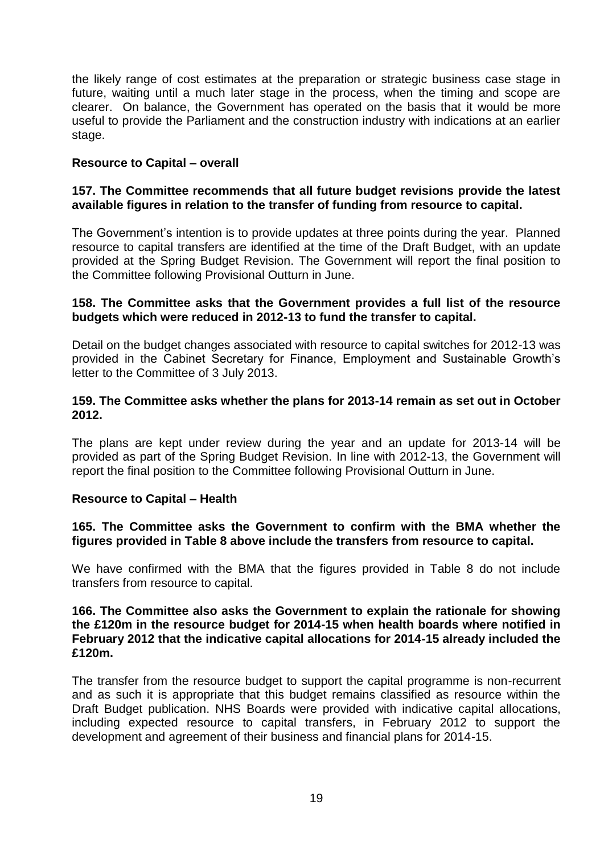the likely range of cost estimates at the preparation or strategic business case stage in future, waiting until a much later stage in the process, when the timing and scope are clearer. On balance, the Government has operated on the basis that it would be more useful to provide the Parliament and the construction industry with indications at an earlier stage.

## **Resource to Capital – overall**

## **157. The Committee recommends that all future budget revisions provide the latest available figures in relation to the transfer of funding from resource to capital.**

The Government's intention is to provide updates at three points during the year. Planned resource to capital transfers are identified at the time of the Draft Budget, with an update provided at the Spring Budget Revision. The Government will report the final position to the Committee following Provisional Outturn in June.

### **158. The Committee asks that the Government provides a full list of the resource budgets which were reduced in 2012-13 to fund the transfer to capital.**

Detail on the budget changes associated with resource to capital switches for 2012-13 was provided in the Cabinet Secretary for Finance, Employment and Sustainable Growth's letter to the Committee of 3 July 2013.

## **159. The Committee asks whether the plans for 2013-14 remain as set out in October 2012.**

The plans are kept under review during the year and an update for 2013-14 will be provided as part of the Spring Budget Revision. In line with 2012-13, the Government will report the final position to the Committee following Provisional Outturn in June.

#### **Resource to Capital – Health**

## **165. The Committee asks the Government to confirm with the BMA whether the figures provided in Table 8 above include the transfers from resource to capital.**

We have confirmed with the BMA that the figures provided in Table 8 do not include transfers from resource to capital.

### **166. The Committee also asks the Government to explain the rationale for showing the £120m in the resource budget for 2014-15 when health boards where notified in February 2012 that the indicative capital allocations for 2014-15 already included the £120m.**

The transfer from the resource budget to support the capital programme is non-recurrent and as such it is appropriate that this budget remains classified as resource within the Draft Budget publication. NHS Boards were provided with indicative capital allocations, including expected resource to capital transfers, in February 2012 to support the development and agreement of their business and financial plans for 2014-15.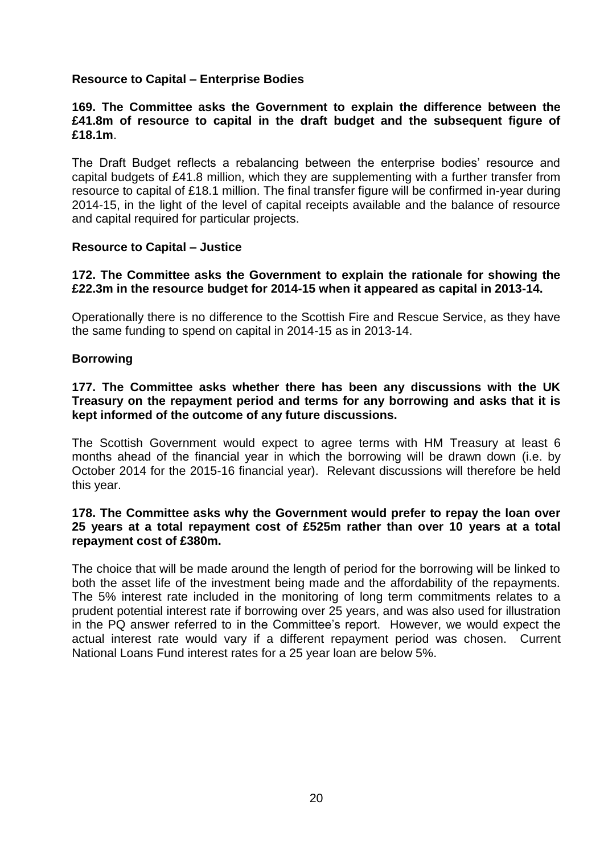# **Resource to Capital – Enterprise Bodies**

## **169. The Committee asks the Government to explain the difference between the £41.8m of resource to capital in the draft budget and the subsequent figure of £18.1m**.

The Draft Budget reflects a rebalancing between the enterprise bodies' resource and capital budgets of £41.8 million, which they are supplementing with a further transfer from resource to capital of £18.1 million. The final transfer figure will be confirmed in-year during 2014-15, in the light of the level of capital receipts available and the balance of resource and capital required for particular projects.

### **Resource to Capital – Justice**

## **172. The Committee asks the Government to explain the rationale for showing the £22.3m in the resource budget for 2014-15 when it appeared as capital in 2013-14.**

Operationally there is no difference to the Scottish Fire and Rescue Service, as they have the same funding to spend on capital in 2014-15 as in 2013-14.

### **Borrowing**

## **177. The Committee asks whether there has been any discussions with the UK Treasury on the repayment period and terms for any borrowing and asks that it is kept informed of the outcome of any future discussions.**

The Scottish Government would expect to agree terms with HM Treasury at least 6 months ahead of the financial year in which the borrowing will be drawn down (i.e. by October 2014 for the 2015-16 financial year). Relevant discussions will therefore be held this year.

## **178. The Committee asks why the Government would prefer to repay the loan over 25 years at a total repayment cost of £525m rather than over 10 years at a total repayment cost of £380m.**

The choice that will be made around the length of period for the borrowing will be linked to both the asset life of the investment being made and the affordability of the repayments. The 5% interest rate included in the monitoring of long term commitments relates to a prudent potential interest rate if borrowing over 25 years, and was also used for illustration in the PQ answer referred to in the Committee's report. However, we would expect the actual interest rate would vary if a different repayment period was chosen. Current National Loans Fund interest rates for a 25 year loan are below 5%.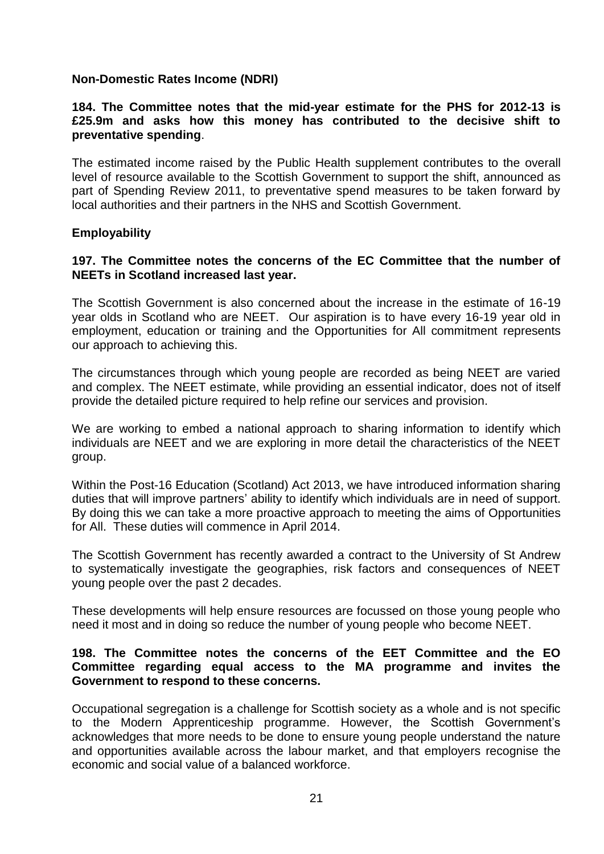## **Non-Domestic Rates Income (NDRI)**

## **184. The Committee notes that the mid-year estimate for the PHS for 2012-13 is £25.9m and asks how this money has contributed to the decisive shift to preventative spending**.

The estimated income raised by the Public Health supplement contributes to the overall level of resource available to the Scottish Government to support the shift, announced as part of Spending Review 2011, to preventative spend measures to be taken forward by local authorities and their partners in the NHS and Scottish Government.

## **Employability**

## **197. The Committee notes the concerns of the EC Committee that the number of NEETs in Scotland increased last year.**

The Scottish Government is also concerned about the increase in the estimate of 16-19 year olds in Scotland who are NEET. Our aspiration is to have every 16-19 year old in employment, education or training and the Opportunities for All commitment represents our approach to achieving this.

The circumstances through which young people are recorded as being NEET are varied and complex. The NEET estimate, while providing an essential indicator, does not of itself provide the detailed picture required to help refine our services and provision.

We are working to embed a national approach to sharing information to identify which individuals are NEET and we are exploring in more detail the characteristics of the NEET group.

Within the Post-16 Education (Scotland) Act 2013, we have introduced information sharing duties that will improve partners' ability to identify which individuals are in need of support. By doing this we can take a more proactive approach to meeting the aims of Opportunities for All. These duties will commence in April 2014.

The Scottish Government has recently awarded a contract to the University of St Andrew to systematically investigate the geographies, risk factors and consequences of NEET young people over the past 2 decades.

These developments will help ensure resources are focussed on those young people who need it most and in doing so reduce the number of young people who become NEET.

## **198. The Committee notes the concerns of the EET Committee and the EO Committee regarding equal access to the MA programme and invites the Government to respond to these concerns.**

Occupational segregation is a challenge for Scottish society as a whole and is not specific to the Modern Apprenticeship programme. However, the Scottish Government's acknowledges that more needs to be done to ensure young people understand the nature and opportunities available across the labour market, and that employers recognise the economic and social value of a balanced workforce.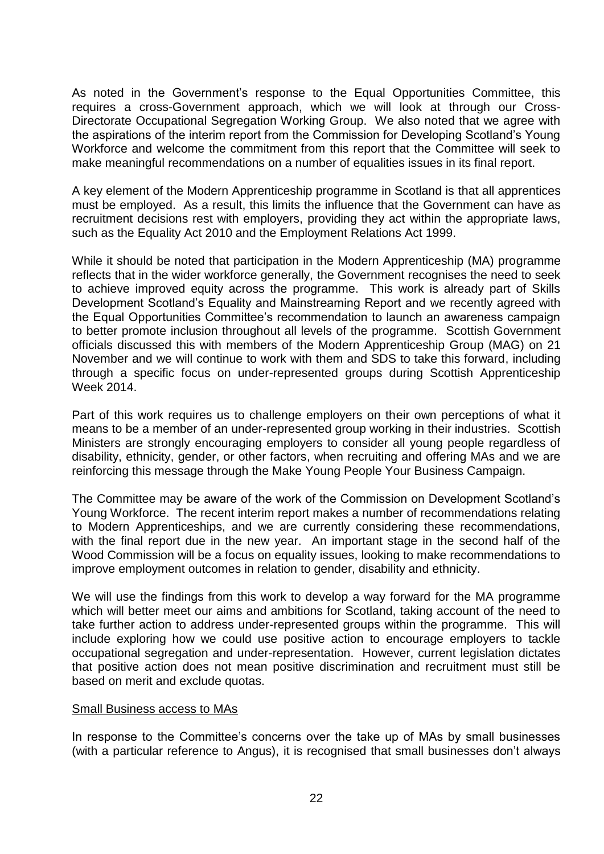As noted in the Government's response to the Equal Opportunities Committee, this requires a cross-Government approach, which we will look at through our Cross-Directorate Occupational Segregation Working Group. We also noted that we agree with the aspirations of the interim report from the Commission for Developing Scotland's Young Workforce and welcome the commitment from this report that the Committee will seek to make meaningful recommendations on a number of equalities issues in its final report.

A key element of the Modern Apprenticeship programme in Scotland is that all apprentices must be employed. As a result, this limits the influence that the Government can have as recruitment decisions rest with employers, providing they act within the appropriate laws, such as the Equality Act 2010 and the Employment Relations Act 1999.

While it should be noted that participation in the Modern Apprenticeship (MA) programme reflects that in the wider workforce generally, the Government recognises the need to seek to achieve improved equity across the programme. This work is already part of Skills Development Scotland's Equality and Mainstreaming Report and we recently agreed with the Equal Opportunities Committee's recommendation to launch an awareness campaign to better promote inclusion throughout all levels of the programme. Scottish Government officials discussed this with members of the Modern Apprenticeship Group (MAG) on 21 November and we will continue to work with them and SDS to take this forward, including through a specific focus on under-represented groups during Scottish Apprenticeship Week 2014.

Part of this work requires us to challenge employers on their own perceptions of what it means to be a member of an under-represented group working in their industries. Scottish Ministers are strongly encouraging employers to consider all young people regardless of disability, ethnicity, gender, or other factors, when recruiting and offering MAs and we are reinforcing this message through the Make Young People Your Business Campaign.

The Committee may be aware of the work of the Commission on Development Scotland's Young Workforce. The recent interim report makes a number of recommendations relating to Modern Apprenticeships, and we are currently considering these recommendations, with the final report due in the new year. An important stage in the second half of the Wood Commission will be a focus on equality issues, looking to make recommendations to improve employment outcomes in relation to gender, disability and ethnicity.

We will use the findings from this work to develop a way forward for the MA programme which will better meet our aims and ambitions for Scotland, taking account of the need to take further action to address under-represented groups within the programme. This will include exploring how we could use positive action to encourage employers to tackle occupational segregation and under-representation. However, current legislation dictates that positive action does not mean positive discrimination and recruitment must still be based on merit and exclude quotas.

#### Small Business access to MAs

In response to the Committee's concerns over the take up of MAs by small businesses (with a particular reference to Angus), it is recognised that small businesses don't always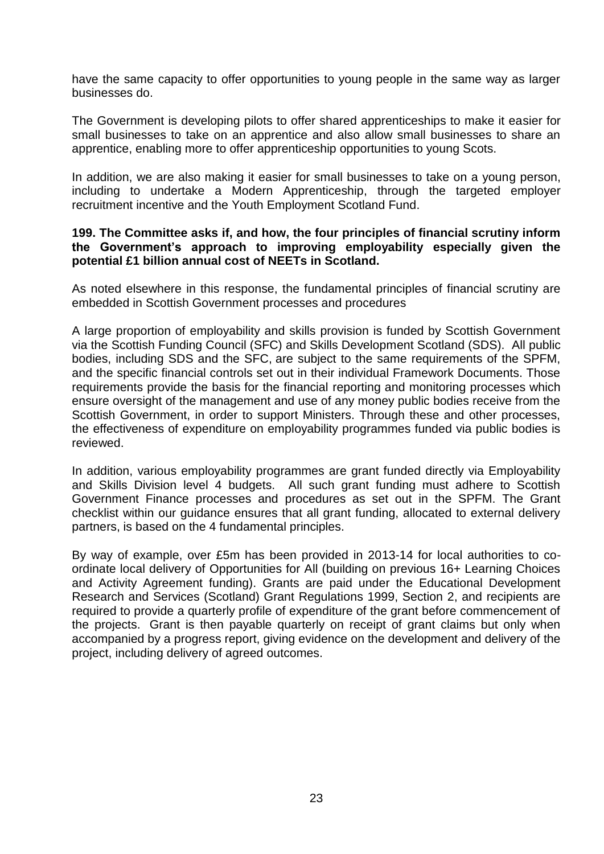have the same capacity to offer opportunities to young people in the same way as larger businesses do.

The Government is developing pilots to offer shared apprenticeships to make it easier for small businesses to take on an apprentice and also allow small businesses to share an apprentice, enabling more to offer apprenticeship opportunities to young Scots.

In addition, we are also making it easier for small businesses to take on a young person, including to undertake a Modern Apprenticeship, through the targeted employer recruitment incentive and the Youth Employment Scotland Fund.

## **199. The Committee asks if, and how, the four principles of financial scrutiny inform the Government's approach to improving employability especially given the potential £1 billion annual cost of NEETs in Scotland.**

As noted elsewhere in this response, the fundamental principles of financial scrutiny are embedded in Scottish Government processes and procedures

A large proportion of employability and skills provision is funded by Scottish Government via the Scottish Funding Council (SFC) and Skills Development Scotland (SDS). All public bodies, including SDS and the SFC, are subject to the same requirements of the SPFM, and the specific financial controls set out in their individual Framework Documents. Those requirements provide the basis for the financial reporting and monitoring processes which ensure oversight of the management and use of any money public bodies receive from the Scottish Government, in order to support Ministers. Through these and other processes, the effectiveness of expenditure on employability programmes funded via public bodies is reviewed.

In addition, various employability programmes are grant funded directly via Employability and Skills Division level 4 budgets. All such grant funding must adhere to Scottish Government Finance processes and procedures as set out in the SPFM. The Grant checklist within our guidance ensures that all grant funding, allocated to external delivery partners, is based on the 4 fundamental principles.

By way of example, over £5m has been provided in 2013-14 for local authorities to coordinate local delivery of Opportunities for All (building on previous 16+ Learning Choices and Activity Agreement funding). Grants are paid under the Educational Development Research and Services (Scotland) Grant Regulations 1999, Section 2, and recipients are required to provide a quarterly profile of expenditure of the grant before commencement of the projects. Grant is then payable quarterly on receipt of grant claims but only when accompanied by a progress report, giving evidence on the development and delivery of the project, including delivery of agreed outcomes.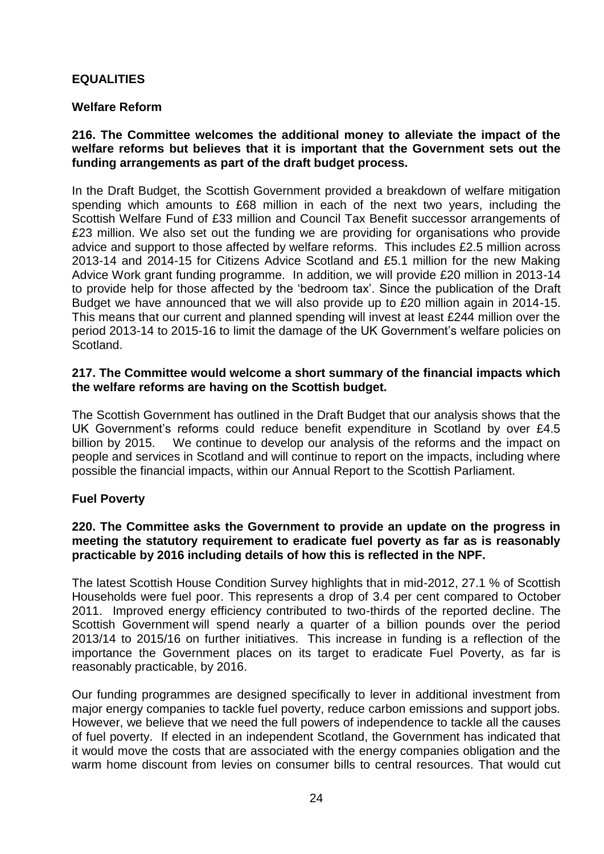# **EQUALITIES**

# **Welfare Reform**

## **216. The Committee welcomes the additional money to alleviate the impact of the welfare reforms but believes that it is important that the Government sets out the funding arrangements as part of the draft budget process.**

In the Draft Budget, the Scottish Government provided a breakdown of welfare mitigation spending which amounts to £68 million in each of the next two years, including the Scottish Welfare Fund of £33 million and Council Tax Benefit successor arrangements of £23 million. We also set out the funding we are providing for organisations who provide advice and support to those affected by welfare reforms. This includes £2.5 million across 2013-14 and 2014-15 for Citizens Advice Scotland and £5.1 million for the new Making Advice Work grant funding programme. In addition, we will provide £20 million in 2013-14 to provide help for those affected by the 'bedroom tax'. Since the publication of the Draft Budget we have announced that we will also provide up to £20 million again in 2014-15. This means that our current and planned spending will invest at least £244 million over the period 2013-14 to 2015-16 to limit the damage of the UK Government's welfare policies on Scotland.

## **217. The Committee would welcome a short summary of the financial impacts which the welfare reforms are having on the Scottish budget.**

The Scottish Government has outlined in the Draft Budget that our analysis shows that the UK Government's reforms could reduce benefit expenditure in Scotland by over £4.5 billion by 2015. We continue to develop our analysis of the reforms and the impact on people and services in Scotland and will continue to report on the impacts, including where possible the financial impacts, within our Annual Report to the Scottish Parliament.

## **Fuel Poverty**

## **220. The Committee asks the Government to provide an update on the progress in meeting the statutory requirement to eradicate fuel poverty as far as is reasonably practicable by 2016 including details of how this is reflected in the NPF.**

The latest Scottish House Condition Survey highlights that in mid-2012, 27.1 % of Scottish Households were fuel poor. This represents a drop of 3.4 per cent compared to October 2011. Improved energy efficiency contributed to two-thirds of the reported decline. The Scottish Government will spend nearly a quarter of a billion pounds over the period 2013/14 to 2015/16 on further initiatives. This increase in funding is a reflection of the importance the Government places on its target to eradicate Fuel Poverty, as far is reasonably practicable, by 2016.

Our funding programmes are designed specifically to lever in additional investment from major energy companies to tackle fuel poverty, reduce carbon emissions and support jobs. However, we believe that we need the full powers of independence to tackle all the causes of fuel poverty. If elected in an independent Scotland, the Government has indicated that it would move the costs that are associated with the energy companies obligation and the warm home discount from levies on consumer bills to central resources. That would cut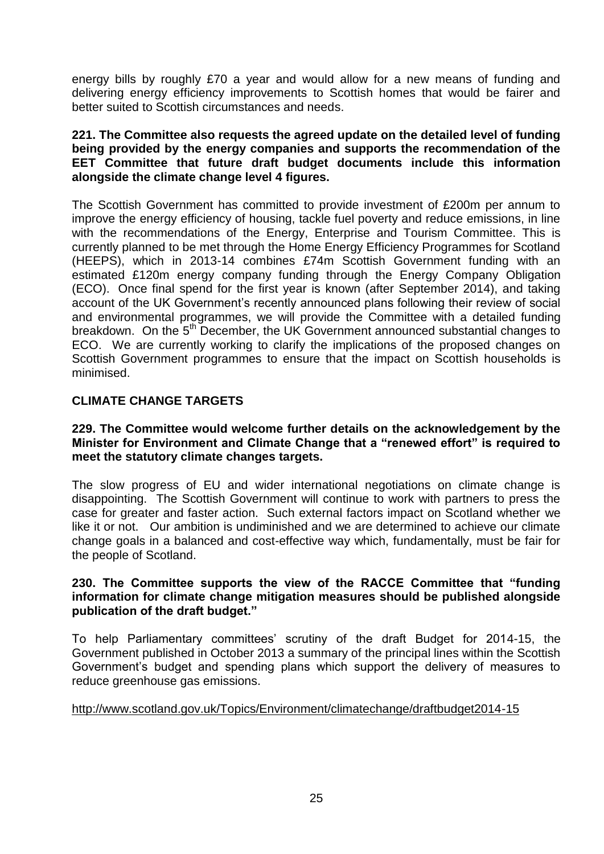energy bills by roughly £70 a year and would allow for a new means of funding and delivering energy efficiency improvements to Scottish homes that would be fairer and better suited to Scottish circumstances and needs.

## **221. The Committee also requests the agreed update on the detailed level of funding being provided by the energy companies and supports the recommendation of the EET Committee that future draft budget documents include this information alongside the climate change level 4 figures.**

The Scottish Government has committed to provide investment of £200m per annum to improve the energy efficiency of housing, tackle fuel poverty and reduce emissions, in line with the recommendations of the Energy, Enterprise and Tourism Committee. This is currently planned to be met through the Home Energy Efficiency Programmes for Scotland (HEEPS), which in 2013-14 combines £74m Scottish Government funding with an estimated £120m energy company funding through the Energy Company Obligation (ECO). Once final spend for the first year is known (after September 2014), and taking account of the UK Government's recently announced plans following their review of social and environmental programmes, we will provide the Committee with a detailed funding breakdown. On the 5<sup>th</sup> December, the UK Government announced substantial changes to ECO. We are currently working to clarify the implications of the proposed changes on Scottish Government programmes to ensure that the impact on Scottish households is minimised.

# **CLIMATE CHANGE TARGETS**

## **229. The Committee would welcome further details on the acknowledgement by the Minister for Environment and Climate Change that a "renewed effort" is required to meet the statutory climate changes targets.**

The slow progress of EU and wider international negotiations on climate change is disappointing. The Scottish Government will continue to work with partners to press the case for greater and faster action. Such external factors impact on Scotland whether we like it or not. Our ambition is undiminished and we are determined to achieve our climate change goals in a balanced and cost-effective way which, fundamentally, must be fair for the people of Scotland.

## **230. The Committee supports the view of the RACCE Committee that "funding information for climate change mitigation measures should be published alongside publication of the draft budget."**

To help Parliamentary committees' scrutiny of the draft Budget for 2014-15, the Government published in October 2013 a summary of the principal lines within the Scottish Government's budget and spending plans which support the delivery of measures to reduce greenhouse gas emissions.

## <http://www.scotland.gov.uk/Topics/Environment/climatechange/draftbudget2014-15>